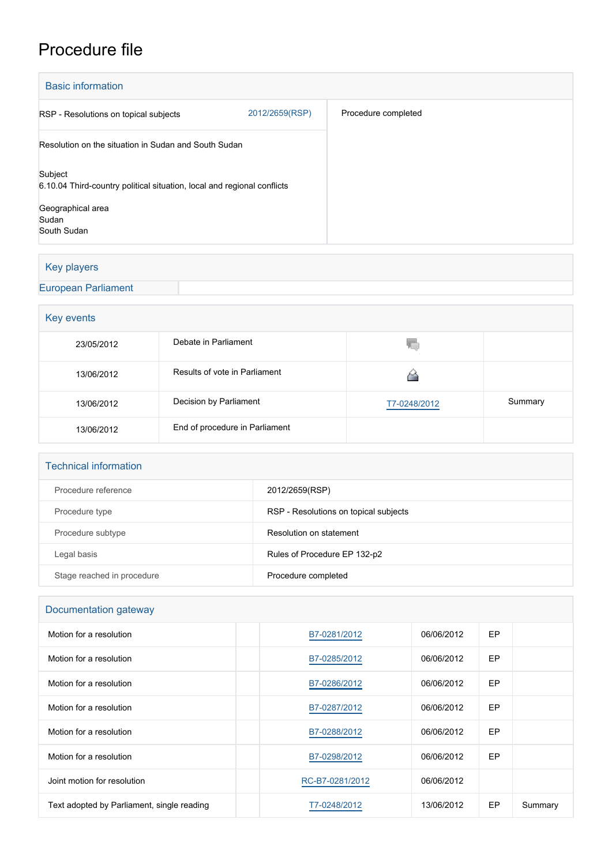# Procedure file

| <b>Basic information</b>                                                           |                |                     |  |  |  |
|------------------------------------------------------------------------------------|----------------|---------------------|--|--|--|
| RSP - Resolutions on topical subjects                                              | 2012/2659(RSP) | Procedure completed |  |  |  |
| Resolution on the situation in Sudan and South Sudan                               |                |                     |  |  |  |
| Subject<br>6.10.04 Third-country political situation, local and regional conflicts |                |                     |  |  |  |
| Geographical area<br>Sudan                                                         |                |                     |  |  |  |
| South Sudan                                                                        |                |                     |  |  |  |

# Key players

[European Parliament](http://www.europarl.europa.eu/)

# **Key events**

| 23/05/2012 | Debate in Parliament           | w            |         |  |  |
|------------|--------------------------------|--------------|---------|--|--|
| 13/06/2012 | Results of vote in Parliament  |              |         |  |  |
| 13/06/2012 | Decision by Parliament         | T7-0248/2012 | Summary |  |  |
| 13/06/2012 | End of procedure in Parliament |              |         |  |  |

#### Technical information

| Procedure reference        | 2012/2659(RSP)                        |
|----------------------------|---------------------------------------|
| Procedure type             | RSP - Resolutions on topical subjects |
| Procedure subtype          | Resolution on statement               |
| Legal basis                | Rules of Procedure EP 132-p2          |
| Stage reached in procedure | Procedure completed                   |

# Documentation gateway

| Motion for a resolution                    | B7-0281/2012    | 06/06/2012 | EP |         |
|--------------------------------------------|-----------------|------------|----|---------|
| Motion for a resolution                    | B7-0285/2012    | 06/06/2012 | EP |         |
| Motion for a resolution                    | B7-0286/2012    | 06/06/2012 | EP |         |
| Motion for a resolution                    | B7-0287/2012    | 06/06/2012 | EP |         |
| Motion for a resolution                    | B7-0288/2012    | 06/06/2012 | EP |         |
| Motion for a resolution                    | B7-0298/2012    | 06/06/2012 | EP |         |
| Joint motion for resolution                | RC-B7-0281/2012 | 06/06/2012 |    |         |
| Text adopted by Parliament, single reading | T7-0248/2012    | 13/06/2012 | EP | Summary |